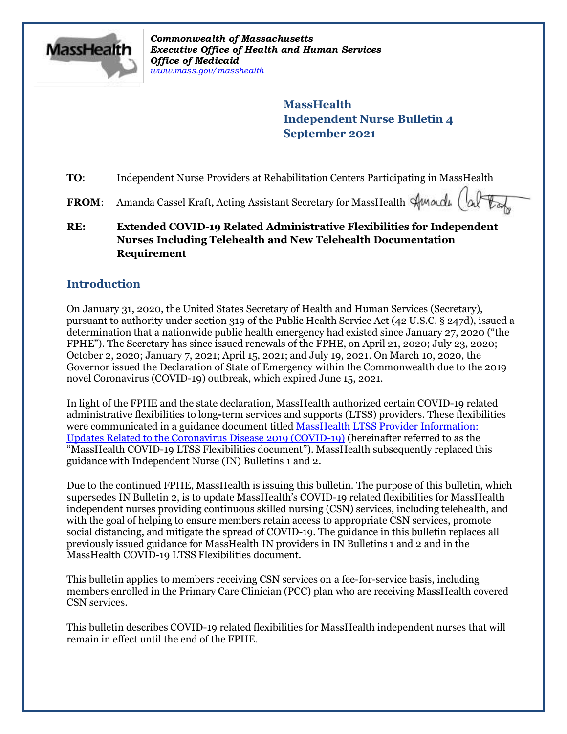

*Commonwealth of Massachusetts Executive Office of Health and Human Services Office of Medicaid [www.mass.gov/masshealth](http://www.mass.gov/masshealth)*

> **MassHealth Independent Nurse Bulletin 4 September 2021**

**TO:** Independent Nurse Providers at Rehabilitation Centers Participating in MassHealth

- **FROM:** Amanda Cassel Kraft, Acting Assistant Secretary for MassHealth *Hwardu*
- **RE: Extended COVID-19 Related Administrative Flexibilities for Independent Nurses Including Telehealth and New Telehealth Documentation Requirement**

# **Introduction**

On January 31, 2020, the United States Secretary of Health and Human Services (Secretary), pursuant to authority under section 319 of the Public Health Service Act (42 U.S.C. § 247d), issued a determination that a nationwide public health emergency had existed since January 27, 2020 ("the FPHE"). The Secretary has since issued renewals of the FPHE, on April 21, 2020; July 23, 2020; October 2, 2020; January 7, 2021; April 15, 2021; and July 19, 2021. On March 10, 2020, the Governor issued the Declaration of State of Emergency within the Commonwealth due to the 2019 novel Coronavirus (COVID-19) outbreak, which expired June 15, 2021.

In light of the FPHE and the state declaration, MassHealth authorized certain COVID-19 related administrative flexibilities to long**-**term services and supports (LTSS) providers. These flexibilities were communicated in a guidance document titled MassHealth LTSS Provider Information: [Updates Related to the Coronavirus Disease 2019 \(COVID-19\)](https://www.mass.gov/doc/ltss-provider-updates-for-covid-19/download?_ga=2.42790818.662193150.1607551634-447905752.1588271315) (hereinafter referred to as the "MassHealth COVID-19 LTSS Flexibilities document"). MassHealth subsequently replaced this guidance with Independent Nurse (IN) Bulletins 1 and 2.

Due to the continued FPHE, MassHealth is issuing this bulletin. The purpose of this bulletin, which supersedes IN Bulletin 2, is to update MassHealth's COVID-19 related flexibilities for MassHealth independent nurses providing continuous skilled nursing (CSN) services, including telehealth, and with the goal of helping to ensure members retain access to appropriate CSN services, promote social distancing, and mitigate the spread of COVID-19. The guidance in this bulletin replaces all previously issued guidance for MassHealth IN providers in IN Bulletins 1 and 2 and in the MassHealth COVID-19 LTSS Flexibilities document.

This bulletin applies to members receiving CSN services on a fee-for-service basis, including members enrolled in the Primary Care Clinician (PCC) plan who are receiving MassHealth covered CSN services.

This bulletin describes COVID-19 related flexibilities for MassHealth independent nurses that will remain in effect until the end of the FPHE.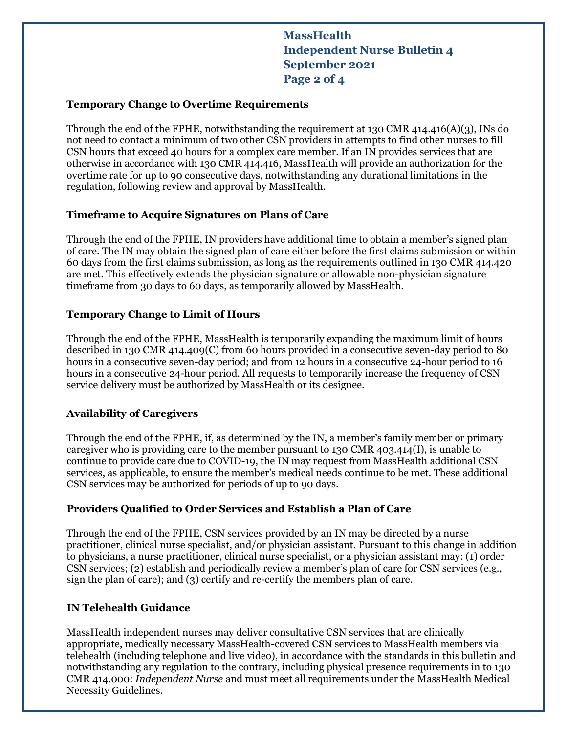**MassHealth Independent Nurse Bulletin 4 September 2021 Page 2 of 4**

### **Temporary Change to Overtime Requirements**

Through the end of the FPHE, notwithstanding the requirement at 130 CMR 414.416(A)(3), INs do not need to contact a minimum of two other CSN providers in attempts to find other nurses to fill CSN hours that exceed 40 hours for a complex care member. If an IN provides services that are otherwise in accordance with 130 CMR 414.416, MassHealth will provide an authorization for the overtime rate for up to 90 consecutive days, notwithstanding any durational limitations in the regulation, following review and approval by MassHealth.

### **Timeframe to Acquire Signatures on Plans of Care**

Through the end of the FPHE, IN providers have additional time to obtain a member's signed plan of care. The IN may obtain the signed plan of care either before the first claims submission or within 60 days from the first claims submission, as long as the requirements outlined in 130 CMR 414.420 are met. This effectively extends the physician signature or allowable non-physician signature timeframe from 30 days to 60 days, as temporarily allowed by MassHealth.

### **Temporary Change to Limit of Hours**

Through the end of the FPHE, MassHealth is temporarily expanding the maximum limit of hours described in 130 CMR 414.409(C) from 60 hours provided in a consecutive seven-day period to 80 hours in a consecutive seven-day period; and from 12 hours in a consecutive 24-hour period to 16 hours in a consecutive 24-hour period. All requests to temporarily increase the frequency of CSN service delivery must be authorized by MassHealth or its designee.

### **Availability of Caregivers**

Through the end of the FPHE, if, as determined by the IN, a member's family member or primary caregiver who is providing care to the member pursuant to 130 CMR 403.414(I), is unable to continue to provide care due to COVID-19, the IN may request from MassHealth additional CSN services, as applicable, to ensure the member's medical needs continue to be met. These additional CSN services may be authorized for periods of up to 90 days.

### **Providers Qualified to Order Services and Establish a Plan of Care**

Through the end of the FPHE, CSN services provided by an IN may be directed by a nurse practitioner, clinical nurse specialist, and/or physician assistant. Pursuant to this change in addition to physicians, a nurse practitioner, clinical nurse specialist, or a physician assistant may: (1) order CSN services; (2) establish and periodically review a member's plan of care for CSN services (e.g., sign the plan of care); and (3) certify and re-certify the members plan of care.

## **IN Telehealth Guidance**

MassHealth independent nurses may deliver consultative CSN services that are clinically appropriate, medically necessary MassHealth-covered CSN services to MassHealth members via telehealth (including telephone and live video), in accordance with the standards in this bulletin and notwithstanding any regulation to the contrary, including physical presence requirements in to 130 CMR 414.000: *Independent Nurse* and must meet all requirements under the MassHealth Medical Necessity Guidelines.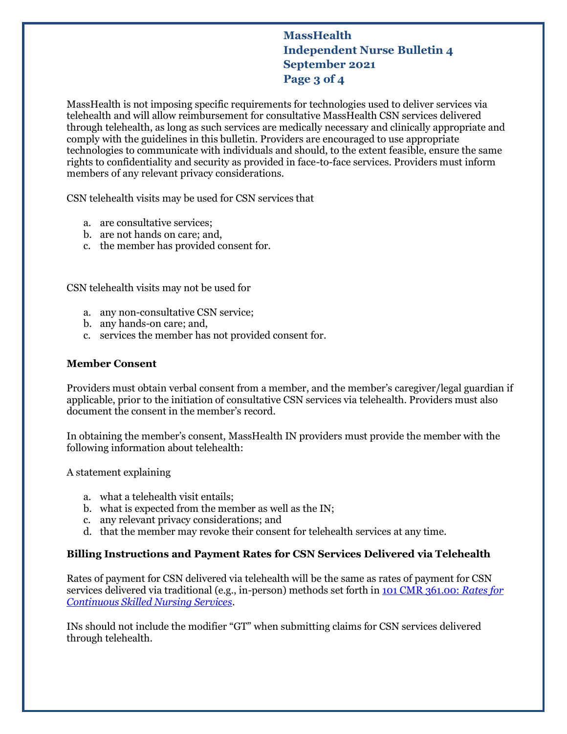# **MassHealth Independent Nurse Bulletin 4 September 2021 Page 3 of 4**

MassHealth is not imposing specific requirements for technologies used to deliver services via telehealth and will allow reimbursement for consultative MassHealth CSN services delivered through telehealth, as long as such services are medically necessary and clinically appropriate and comply with the guidelines in this bulletin. Providers are encouraged to use appropriate technologies to communicate with individuals and should, to the extent feasible, ensure the same rights to confidentiality and security as provided in face-to-face services. Providers must inform members of any relevant privacy considerations.

CSN telehealth visits may be used for CSN services that

- a. are consultative services;
- b. are not hands on care; and,
- c. the member has provided consent for.

CSN telehealth visits may not be used for

- a. any non-consultative CSN service;
- b. any hands-on care; and,
- c. services the member has not provided consent for.

#### **Member Consent**

Providers must obtain verbal consent from a member, and the member's caregiver/legal guardian if applicable, prior to the initiation of consultative CSN services via telehealth. Providers must also document the consent in the member's record.

In obtaining the member's consent, MassHealth IN providers must provide the member with the following information about telehealth:

A statement explaining

- a. what a telehealth visit entails;
- b. what is expected from the member as well as the IN;
- c. any relevant privacy considerations; and
- d. that the member may revoke their consent for telehealth services at any time.

### **Billing Instructions and Payment Rates for CSN Services Delivered via Telehealth**

Rates of payment for CSN delivered via telehealth will be the same as rates of payment for CSN services delivered via traditional (e.g., in-person) methods set forth i[n 101 CMR 361.00:](https://www.mass.gov/regulations/101-CMR-36100-rates-for-continuous-skilled-nursing-services-0) *Rates for [Continuous Skilled Nursing Services](https://www.mass.gov/regulations/101-CMR-36100-rates-for-continuous-skilled-nursing-services-0)*.

INs should not include the modifier "GT" when submitting claims for CSN services delivered through telehealth.